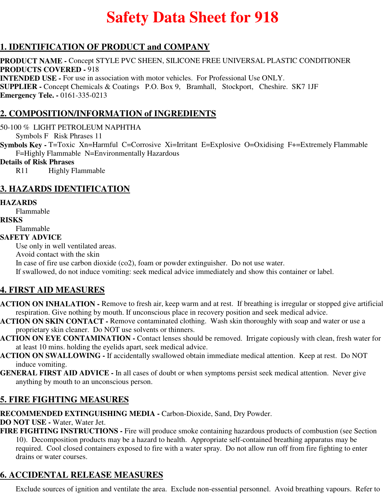# **Safety Data Sheet for 918**

# **1. IDENTIFICATION OF PRODUCT and COMPANY**

**PRODUCT NAME -** Concept STYLE PVC SHEEN, SILICONE FREE UNIVERSAL PLASTIC CONDITIONER **PRODUCTS COVERED -** 918 **INTENDED USE -** For use in association with motor vehicles. For Professional Use ONLY. **SUPPLIER -** Concept Chemicals & Coatings P.O. Box 9, Bramhall, Stockport, Cheshire. SK7 1JF **Emergency Tele. -** 0161-335-0213

# **2. COMPOSITION/INFORMATION of INGREDIENTS**

50-100 % LIGHT PETROLEUM NAPHTHA

Symbols F Risk Phrases 11

**Symbols Key -** T=Toxic Xn=Harmful C=Corrosive Xi=Irritant E=Explosive O=Oxidising F+=Extremely Flammable F=Highly Flammable N=Environmentally Hazardous

#### **Details of Risk Phrases**

R11 Highly Flammable

# **3. HAZARDS IDENTIFICATION**

#### **HAZARDS**

Flammable

#### **RISKS**

Flammable

**SAFETY ADVICE**

Use only in well ventilated areas.

Avoid contact with the skin

In case of fire use carbon dioxide (co2), foam or powder extinguisher. Do not use water.

If swallowed, do not induce vomiting: seek medical advice immediately and show this container or label.

## **4. FIRST AID MEASURES**

- **ACTION ON INHALATION** Remove to fresh air, keep warm and at rest. If breathing is irregular or stopped give artificial respiration. Give nothing by mouth. If unconscious place in recovery position and seek medical advice.
- **ACTION ON SKIN CONTACT** Remove contaminated clothing. Wash skin thoroughly with soap and water or use a proprietary skin cleaner. Do NOT use solvents or thinners.
- **ACTION ON EYE CONTAMINATION** Contact lenses should be removed. Irrigate copiously with clean, fresh water for at least 10 mins. holding the eyelids apart, seek medical advice.
- **ACTION ON SWALLOWING** If accidentally swallowed obtain immediate medical attention. Keep at rest. Do NOT induce vomiting.
- **GENERAL FIRST AID ADVICE** In all cases of doubt or when symptoms persist seek medical attention. Never give anything by mouth to an unconscious person.

# **5. FIRE FIGHTING MEASURES**

**RECOMMENDED EXTINGUISHING MEDIA -** Carbon-Dioxide, Sand, Dry Powder.

**DO NOT USE -** Water, Water Jet.

**FIRE FIGHTING INSTRUCTIONS -** Fire will produce smoke containing hazardous products of combustion (see Section 10). Decomposition products may be a hazard to health. Appropriate self-contained breathing apparatus may be required. Cool closed containers exposed to fire with a water spray. Do not allow run off from fire fighting to enter drains or water courses.

# **6. ACCIDENTAL RELEASE MEASURES**

Exclude sources of ignition and ventilate the area. Exclude non-essential personnel. Avoid breathing vapours. Refer to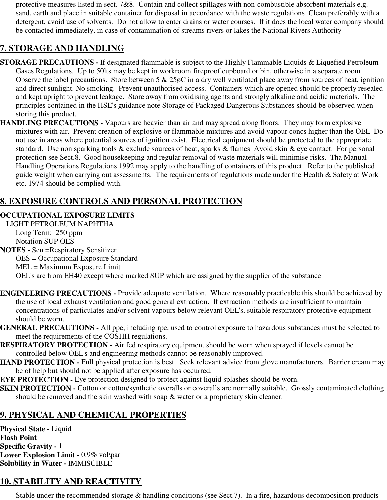protective measures listed in sect. 7&8. Contain and collect spillages with non-combustible absorbent materials e.g. sand, earth and place in suitable container for disposal in accordance with the waste regulations Clean preferably with a detergent, avoid use of solvents. Do not allow to enter drains or water courses. If it does the local water company should be contacted immediately, in case of contamination of streams rivers or lakes the National Rivers Authority

# **7. STORAGE AND HANDLING**

- **STORAGE PRECAUTIONS** If designated flammable is subject to the Highly Flammable Liquids & Liquefied Petroleum Gases Regulations. Up to 50lts may be kept in workroom fireproof cupboard or bin, otherwise in a separate room Observe the label precautions. Store between 5 & 25øC in a dry well ventilated place away from sources of heat, ignition and direct sunlight. No smoking. Prevent unauthorised access. Containers which are opened should be properly resealed and kept upright to prevent leakage. Store away from oxidising agents and strongly alkaline and acidic materials. The principles contained in the HSE's guidance note Storage of Packaged Dangerous Substances should be observed when storing this product.
- **HANDLING PRECAUTIONS** Vapours are heavier than air and may spread along floors. They may form explosive mixtures with air. Prevent creation of explosive or flammable mixtures and avoid vapour concs higher than the OEL Do not use in areas where potential sources of ignition exist. Electrical equipment should be protected to the appropriate standard. Use non sparking tools & exclude sources of heat, sparks & flames Avoid skin & eye contact. For personal protection see Sect.8. Good housekeeping and regular removal of waste materials will minimise risks. Tha Manual Handling Operations Regulations 1992 may apply to the handling of containers of this product. Refer to the published guide weight when carrying out assessments. The requirements of regulations made under the Health & Safety at Work etc. 1974 should be complied with.

# **8. EXPOSURE CONTROLS AND PERSONAL PROTECTION**

#### **OCCUPATIONAL EXPOSURE LIMITS**

LIGHT PETROLEUM NAPHTHA Long Term: 250 ppm Notation SUP OES

**NOTES -** Sen =Respiratory Sensitizer OES = Occupational Exposure Standard MEL = Maximum Exposure Limit OEL's are from EH40 except where marked SUP which are assigned by the supplier of the substance

- **ENGINEERING PRECAUTIONS** Provide adequate ventilation. Where reasonably practicable this should be achieved by the use of local exhaust ventilation and good general extraction. If extraction methods are insufficient to maintain concentrations of particulates and/or solvent vapours below relevant OEL's, suitable respiratory protective equipment should be worn.
- **GENERAL PRECAUTIONS** All ppe, including rpe, used to control exposure to hazardous substances must be selected to meet the requirements of the COSHH regulations.
- **RESPIRATORY PROTECTION** Air fed respiratory equipment should be worn when sprayed if levels cannot be controlled below OEL's and engineering methods cannot be reasonably improved.
- **HAND PROTECTION Full physical protection is best. Seek relevant advice from glove manufacturers. Barrier cream may** be of help but should not be applied after exposure has occurred.

**EYE PROTECTION -** Eye protection designed to protect against liquid splashes should be worn.

**SKIN PROTECTION -** Cotton or cotton/synthetic overalls or coveralls are normally suitable. Grossly contaminated clothing should be removed and the skin washed with soap & water or a proprietary skin cleaner.

# **9. PHYSICAL AND CHEMICAL PROPERTIES**

**Physical State -** Liquid **Flash Point Specific Gravity -** 1 **Lower Explosion Limit -** 0.9% vol\par **Solubility in Water -** IMMISCIBLE

# **10. STABILITY AND REACTIVITY**

Stable under the recommended storage & handling conditions (see Sect.7). In a fire, hazardous decomposition products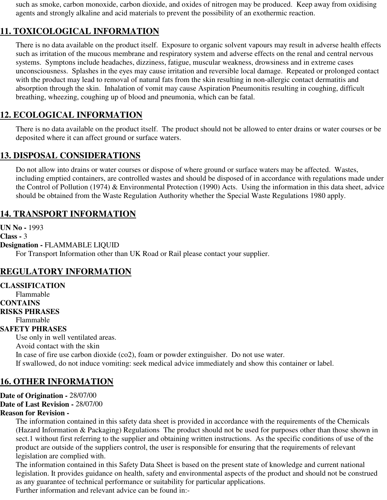such as smoke, carbon monoxide, carbon dioxide, and oxides of nitrogen may be produced. Keep away from oxidising agents and strongly alkaline and acid materials to prevent the possibility of an exothermic reaction.

# **11. TOXICOLOGICAL INFORMATION**

There is no data available on the product itself. Exposure to organic solvent vapours may result in adverse health effects such as irritation of the mucous membrane and respiratory system and adverse effects on the renal and central nervous systems. Symptons include headaches, dizziness, fatigue, muscular weakness, drowsiness and in extreme cases unconsciousness. Splashes in the eyes may cause irritation and reversible local damage. Repeated or prolonged contact with the product may lead to removal of natural fats from the skin resulting in non-allergic contact dermatitis and absorption through the skin. Inhalation of vomit may cause Aspiration Pneumonitis resulting in coughing, difficult breathing, wheezing, coughing up of blood and pneumonia, which can be fatal.

# **12. ECOLOGICAL INFORMATION**

There is no data available on the product itself. The product should not be allowed to enter drains or water courses or be deposited where it can affect ground or surface waters.

## **13. DISPOSAL CONSIDERATIONS**

Do not allow into drains or water courses or dispose of where ground or surface waters may be affected. Wastes, including emptied containers, are controlled wastes and should be disposed of in accordance with regulations made under the Control of Pollution (1974) & Environmental Protection (1990) Acts. Using the information in this data sheet, advice should be obtained from the Waste Regulation Authority whether the Special Waste Regulations 1980 apply.

## **14. TRANSPORT INFORMATION**

**UN No -** 1993 **Class -** 3 **Designation -** FLAMMABLE LIQUID For Transport Information other than UK Road or Rail please contact your supplier.

## **REGULATORY INFORMATION**

# **CLASSIFICATION** Flammable **CONTAINS RISKS PHRASES** Flammable **SAFETY PHRASES** Use only in well ventilated areas. Avoid contact with the skin In case of fire use carbon dioxide (co2), foam or powder extinguisher. Do not use water. If swallowed, do not induce vomiting: seek medical advice immediately and show this container or label.

# **16. OTHER INFORMATION**

**Date of Origination -** 28/07/00

**Date of Last Revision -** 28/07/00

#### **Reason for Revision -**

The information contained in this safety data sheet is provided in accordance with the requirements of the Chemicals (Hazard Information & Packaging) Regulations The product should not be used for purposes other than those shown in sect.1 without first referring to the supplier and obtaining written instructions. As the specific conditions of use of the product are outside of the suppliers control, the user is responsible for ensuring that the requirements of relevant legislation are complied with.

The information contained in this Safety Data Sheet is based on the present state of knowledge and current national legislation. It provides guidance on health, safety and environmental aspects of the product and should not be construed as any guarantee of technical performance or suitability for particular applications.

Further information and relevant advice can be found in:-